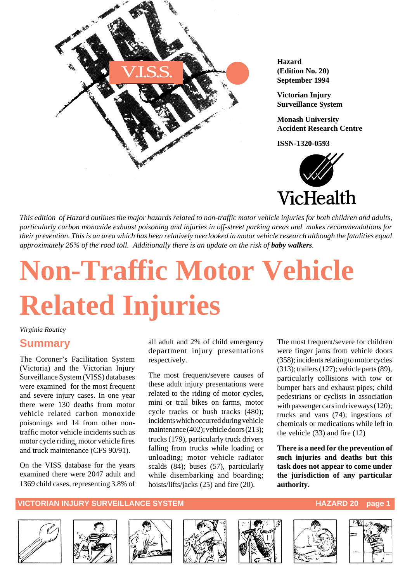

**Hazard (Edition No. 20) September 1994**

**Victorian Injury Surveillance System**

**Monash University Accident Research Centre**

**ISSN-1320-0593**



*This edition of Hazard outlines the major hazards related to non-traffic motor vehicle injuries for both children and adults, particularly carbon monoxide exhaust poisoning and injuries in off-street parking areas and makes recommendations for their prevention. This is an area which has been relatively overlooked in motor vehicle research although the fatalities equal approximately 26% of the road toll. Additionally there is an update on the risk of baby walkers.* 

# **Non-Traffic Motor Vehicle Related Injuries**

#### *Virginia Routley*

#### **Summary**

The Coroner's Facilitation System (Victoria) and the Victorian Injury Surveillance System (VISS) databases were examined for the most frequent and severe injury cases. In one year there were 130 deaths from motor vehicle related carbon monoxide poisonings and 14 from other nontraffic motor vehicle incidents such as motor cycle riding, motor vehicle fires and truck maintenance (CFS 90/91).

On the VISS database for the years examined there were 2047 adult and 1369 child cases, representing 3.8% of all adult and 2% of child emergency department injury presentations respectively.

The most frequent/severe causes of these adult injury presentations were related to the riding of motor cycles, mini or trail bikes on farms, motor cycle tracks or bush tracks (480); incidents which occurred during vehicle maintenance (402); vehicle doors (213); trucks (179), particularly truck drivers falling from trucks while loading or unloading; motor vehicle radiator scalds (84); buses (57), particularly while disembarking and boarding; hoists/lifts/jacks (25) and fire (20).

The most frequent/severe for children were finger jams from vehicle doors (358); incidents relating to motor cycles (313); trailers (127); vehicle parts (89), particularly collisions with tow or bumper bars and exhaust pipes; child pedestrians or cyclists in association with passenger cars in driveways (120); trucks and vans (74); ingestions of chemicals or medications while left in the vehicle (33) and fire (12)

**There is a need for the prevention of such injuries and deaths but this task does not appear to come under the jurisdiction of any particular authority.**













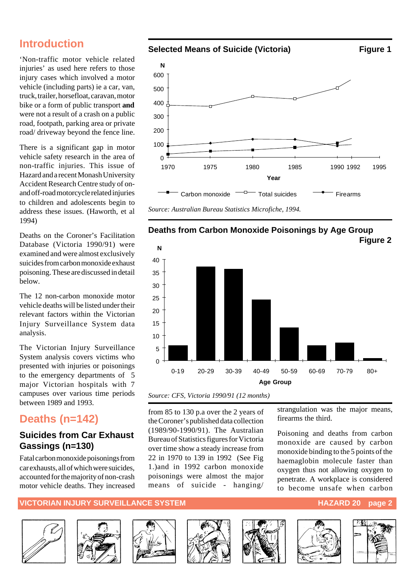### **Introduction**

'Non-traffic motor vehicle related injuries' as used here refers to those injury cases which involved a motor vehicle (including parts) ie a car, van, truck, trailer, horsefloat, caravan, motor bike or a form of public transport **and** were not a result of a crash on a public road, footpath, parking area or private road/ driveway beyond the fence line.

There is a significant gap in motor vehicle safety research in the area of non-traffic injuries. This issue of Hazard and a recent Monash University Accident Research Centre study of onand off-road motorcycle related injuries to children and adolescents begin to address these issues. (Haworth, et al 1994)

Deaths on the Coroner's Facilitation Database (Victoria 1990/91) were examined and were almost exclusively suicides from carbon monoxide exhaust poisoning. These are discussed in detail below.

The 12 non-carbon monoxide motor vehicle deaths will be listed under their relevant factors within the Victorian Injury Surveillance System data analysis.

The Victorian Injury Surveillance System analysis covers victims who presented with injuries or poisonings to the emergency departments of 5 major Victorian hospitals with 7 campuses over various time periods between 1989 and 1993.

## **Deaths (n=142)**

#### **Suicides from Car Exhaust Gassings (n=130)**

Fatal carbon monoxide poisonings from car exhausts, all of which were suicides, accounted for the majority of non-crash motor vehicle deaths. They increased





*Source: CFS, Victoria 1990/91 (12 months)*

from 85 to 130 p.a over the 2 years of the Coroner's published data collection (1989/90-1990/91). The Australian Bureau of Statistics figures for Victoria over time show a steady increase from 22 in 1970 to 139 in 1992 (See Fig 1.)and in 1992 carbon monoxide poisonings were almost the major means of suicide - hanging/ strangulation was the major means, firearms the third.

Poisoning and deaths from carbon monoxide are caused by carbon monoxide binding to the 5 points of the haemaglobin molecule faster than oxygen thus not allowing oxygen to penetrate. A workplace is considered to become unsafe when carbon

#### **VICTORIAN INJURY SURVEILLANCE SYSTEM AND RESERVE THE RESERVE THAZARD 20 page 2**













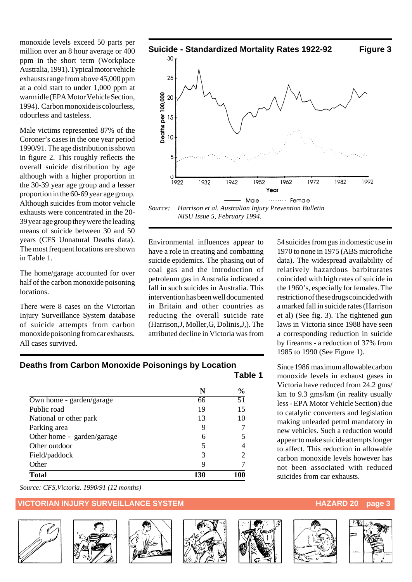monoxide levels exceed 50 parts per million over an 8 hour average or 400 ppm in the short term (Workplace Australia, 1991). Typical motor vehicle exhausts range from above 45,000 ppm at a cold start to under 1,000 ppm at warm idle (EPA Motor Vehicle Section, 1994). Carbon monoxide is colourless, odourless and tasteless.

Male victims represented 87% of the Coroner's cases in the one year period 1990/91. The age distribution is shown in figure 2. This roughly reflects the overall suicide distribution by age although with a higher proportion in the 30-39 year age group and a lesser proportion in the 60-69 year age group. Although suicides from motor vehicle exhausts were concentrated in the 20- 39 year age group they were the leading means of suicide between 30 and 50 years (CFS Unnatural Deaths data). The most frequent locations are shown in Table 1.

The home/garage accounted for over half of the carbon monoxide poisoning locations.

There were 8 cases on the Victorian Injury Surveillance System database of suicide attempts from carbon monoxide poisoning from car exhausts. All cases survived.



Environmental influences appear to have a role in creating and combatting suicide epidemics. The phasing out of coal gas and the introduction of petroleum gas in Australia indicated a fall in such suicides in Australia. This intervention has been well documented in Britain and other countries as reducing the overall suicide rate (Harrison,J, Moller,G, Dolinis,J,). The attributed decline in Victoria was from

54 suicides from gas in domestic use in 1970 to none in 1975 (ABS microfiche data). The widespread availability of relatively hazardous barbiturates coincided with high rates of suicide in the 1960's, especially for females. The restriction of these drugs coincided with a marked fall in suicide rates (Harrison et al) (See fig. 3). The tightened gun laws in Victoria since 1988 have seen a corresponding reduction in suicide by firearms - a reduction of 37% from 1985 to 1990 (See Figure 1).

Since 1986 maximum allowable carbon monoxide levels in exhaust gases in Victoria have reduced from 24.2 gms/ km to 9.3 gms/km (in reality usually less - EPA Motor Vehicle Section) due to catalytic converters and legislation making unleaded petrol mandatory in new vehicles. Such a reduction would appear to make suicide attempts longer to affect. This reduction in allowable carbon monoxide levels however has not been associated with reduced suicides from car exhausts.

| Deaths from Carbon Monoxide Poisonings by Location |         |
|----------------------------------------------------|---------|
|                                                    | Table 1 |

|                            |     | $\frac{0}{0}$   |
|----------------------------|-----|-----------------|
| Own home - garden/garage   | 66  | $\overline{51}$ |
| Public road                | 19  | 15              |
| National or other park     | 13  | 10              |
| Parking area               | 9   |                 |
| Other home - garden/garage | 6   |                 |
| Other outdoor              | 5   |                 |
| Field/paddock              | 3   |                 |
| Other                      | 9   |                 |
| <b>Total</b>               | 130 | 100             |

*Source: CFS,Victoria. 1990/91 (12 months)*

#### **VICTORIAN INJURY SURVEILLANCE SYSTEM HAZARD 20 page 3**













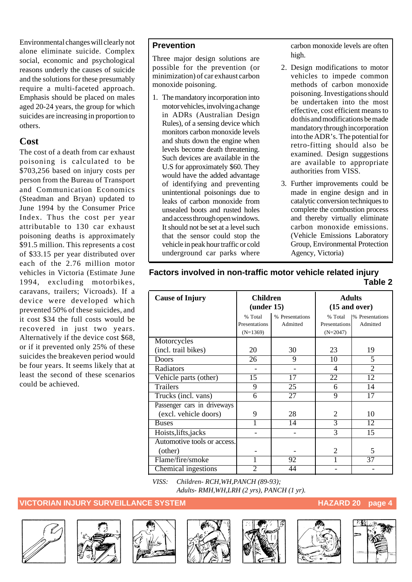Environmental changes will clearly not alone eliminate suicide. Complex social, economic and psychological reasons underly the causes of suicide and the solutions for these presumably require a multi-faceted approach. Emphasis should be placed on males aged 20-24 years, the group for which suicides are increasing in proportion to others.

#### **Cost**

The cost of a death from car exhaust poisoning is calculated to be \$703,256 based on injury costs per person from the Bureau of Transport and Communication Economics (Steadman and Bryan) updated to June 1994 by the Consumer Price Index. Thus the cost per year attributable to 130 car exhaust poisoning deaths is approximately \$91.5 million. This represents a cost of \$33.15 per year distributed over each of the 2.76 million motor vehicles in Victoria (Estimate June 1994, excluding motorbikes, caravans, trailers; Vicroads). If a device were developed which prevented 50% of these suicides, and it cost \$34 the full costs would be recovered in just two years. Alternatively if the device cost \$68, or if it prevented only 25% of these suicides the breakeven period would be four years. It seems likely that at least the second of these scenarios could be achieved.

#### **Prevention**

Three major design solutions are possible for the prevention (or minimization) of car exhaust carbon monoxide poisoning.

1. The mandatory incorporation into motor vehicles, involving a change in ADRs (Australian Design Rules), of a sensing device which monitors carbon monoxide levels and shuts down the engine when levels become death threatening. Such devices are available in the U.S for approximately \$60. They would have the added advantage of identifying and preventing unintentional poisonings due to leaks of carbon monoxide from unsealed boots and rusted holes and access through open windows. It should not be set at a level such that the sensor could stop the vehicle in peak hour traffic or cold underground car parks where carbon monoxide levels are often high.

- 2. Design modifications to motor vehicles to impede common methods of carbon monoxide poisoning. Investigations should be undertaken into the most effective, cost efficient means to do this and modifications be made mandatory through incorporation into the ADR's. The potential for retro-fitting should also be examined. Design suggestions are available to appropriate authorities from VISS.
- 3. Further improvements could be made in engine design and in catalytic conversion techniques to complete the combustion process and thereby virtually eliminate carbon monoxide emissions. (Vehicle Emissions Laboratory Group, Environmental Protection Agency, Victoria)

| <b>Cause of Injury</b>      | <b>Children</b><br>(under 15) |                 | <b>Adults</b><br>$(15$ and over) |                              |
|-----------------------------|-------------------------------|-----------------|----------------------------------|------------------------------|
|                             | % Total                       | % Presentations | % Total                          | <sup>9</sup> % Presentations |
|                             | Presentations                 | Admitted        | Presentations                    | Admitted                     |
|                             | $(N=1369)$                    |                 | $(N=2047)$                       |                              |
| Motorcycles                 |                               |                 |                                  |                              |
| (incl. trail bikes)         | 20                            | 30              | 23                               | 19                           |
| Doors                       | 26                            | 9               | 10                               | 5                            |
| Radiators                   |                               |                 | $\overline{\mathcal{A}}$         | $\overline{2}$               |
| Vehicle parts (other)       | $\overline{15}$               | 17              | 22                               | 12                           |
| <b>Trailers</b>             | 9                             | 25              | 6                                | 14                           |
| Trucks (incl. vans)         | 6                             | $\overline{27}$ | 9                                | 17                           |
| Passenger cars in driveways |                               |                 |                                  |                              |
| (excl. vehicle doors)       | 9                             | 28              | 2                                | 10                           |
| <b>Buses</b>                |                               | 14              | $\overline{3}$                   | 12                           |
| Hoists, lifts, jacks        |                               |                 | 3                                | 15                           |
| Automotive tools or access. |                               |                 |                                  |                              |
| (other)                     |                               |                 | 2                                | 5                            |
| Flame/fire/smoke            | 1                             | 92              |                                  | 37                           |
| Chemical ingestions         | $\overline{c}$                | 44              |                                  |                              |

#### **Factors involved in non-traffic motor vehicle related injury Table 2**

*VISS: Children- RCH,WH,PANCH (89-93); Adults- RMH,WH,LRH (2 yrs), PANCH (1 yr).*













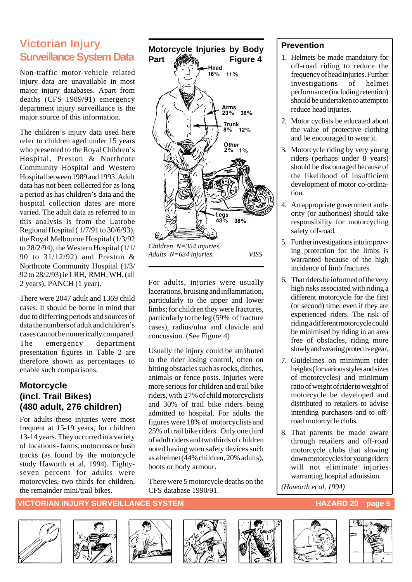## **Victorian Injury Surveillance System Data**

Non-traffic motor-vehicle related injury data are unavailable in most major injury databases. Apart from deaths (CFS 1989/91) emergency department injury surveillance is the major source of this information.

The children's injury data used here refer to children aged under 15 years who presented to the Royal Children's Hospital, Preston & Northcote Community Hospital and Western Hospital between 1989 and 1993. Adult data has not been collected for as long a period as has children's data and the hospital collection dates are more varied. The adult data as referred to in this analysis is from the Latrobe Regional Hospital ( 1/7/91 to 30/6/93), the Royal Melbourne Hospital (1/3/92 to 28/2/94), the Western Hospital (1/1/ 90 to 31/12/92) and Preston & Northcote Community Hospital (1/3/ 92 to 28/2/93) ie LRH, RMH, WH, (all 2 years), PANCH (1 year).

There were 2047 adult and 1369 child cases. It should be borne in mind that due to differring periods and sources of data the numbers of adult and children's cases cannot be numerically compared. The emergency department presentation figures in Table 2 are therefore shown as percentages to enable such comparisons.

#### **Motorcycle (incl. Trail Bikes) (480 adult, 276 children)**

For adults these injuries were most frequent at 15-19 years, for children 13-14 years. They occurred in a variety of locations - farms, motocross or bush tracks (as found by the motorcycle study Haworth et al, 1994). Eightyseven percent for adults were motorcycles, two thirds for children, the remainder mini/trail bikes.



For adults, injuries were usually lacerations, bruising and inflammation, particularly to the upper and lower limbs; for children they were fractures, particularly to the leg (59% of fracture cases), radius/ulna and clavicle and concussion. (See Figure 4)

Usually the injury could be attributed to the rider losing control, often on hitting obstacles such as rocks, ditches, animals or fence posts. Injuries were more serious for children and trail bike riders, with 27% of child motorcyclists and 30% of trail bike riders being admitted to hospital. For adults the figures were 18% of motorcyclists and 25% of trail bike riders. Only one third of adult riders and two thirds of children noted having worn safety devices such as a helmet (44% children, 20% adults), boots or body armour.

There were 5 motorcycle deaths on the CFS database 1990/91.

#### **Prevention**

- 1. Helmets be made mandatory for off-road riding to reduce the frequency of head injuries. Further investigations of helmet performance (including retention) should be undertaken to attempt to reduce head injuries.
- 2. Motor cyclists be educated about the value of protective clothing and be encouraged to wear it.
- 3. Motorcycle riding by very young riders (perhaps under 8 years) should be discouraged because of the likelihood of insufficient development of motor co-ordination.
- 4. An appropriate government authority (or authorities) should take responsibility for motorcycling safety off-road.
- 5. Further investigations into improving protection for the limbs is warranted because of the high incidence of limb fractures.
- 6. That riders be informed of the very high risks associated with riding a different motorcycle for the first (or second) time, even if they are experienced riders. The risk of riding a different motorcycle could be minimised by riding in an area free of obstacles, riding more slowly and wearing protective gear.
- 7. Guidelines on minimum rider heights (for various styles and sizes of motorcycles) and minimum ratio of weight of rider to weight of motorcycle be developed and distributed to retailers to advise intending purchasers and to offroad motorcycle clubs.
- 8. That parents be made aware through retailers and off-road motorcycle clubs that slowing down motorcycles for young riders will not eliminate injuries warranting hospital admission.

*(Haworth et al, 1994)*













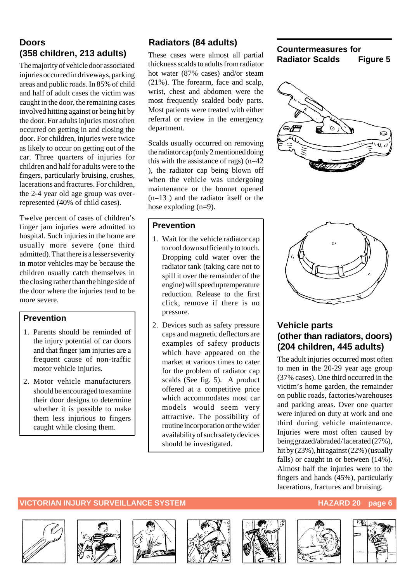#### **Doors (358 children, 213 adults)**

The majority of vehicle door associated injuries occurred in driveways, parking areas and public roads. In 85% of child and half of adult cases the victim was caught in the door, the remaining cases involved hitting against or being hit by the door. For adults injuries most often occurred on getting in and closing the door. For children, injuries were twice as likely to occur on getting out of the car. Three quarters of injuries for children and half for adults were to the fingers, particularly bruising, crushes, lacerations and fractures. For children, the 2-4 year old age group was overrepresented (40% of child cases).

Twelve percent of cases of children's finger jam injuries were admitted to hospital. Such injuries in the home are usually more severe (one third admitted). That there is a lesser severity in motor vehicles may be because the children usually catch themselves in the closing rather than the hinge side of the door where the injuries tend to be more severe.

#### **Prevention**

- 1. Parents should be reminded of the injury potential of car doors and that finger jam injuries are a frequent cause of non-traffic motor vehicle injuries.
- 2. Motor vehicle manufacturers should be encouraged to examine their door designs to determine whether it is possible to make them less injurious to fingers caught while closing them.

#### **Radiators (84 adults)**

These cases were almost all partial thickness scalds to adults from radiator hot water (87% cases) and/or steam (21%). The forearm, face and scalp, wrist, chest and abdomen were the most frequently scalded body parts. Most patients were treated with either referral or review in the emergency department.

Scalds usually occurred on removing the radiator cap (only 2 mentioned doing this with the assistance of rags)  $(n=42)$ ), the radiator cap being blown off when the vehicle was undergoing maintenance or the bonnet opened (n=13 ) and the radiator itself or the hose exploding  $(n=9)$ .

#### **Prevention**

- 1. Wait for the vehicle radiator cap to cool down sufficiently to touch. Dropping cold water over the radiator tank (taking care not to spill it over the remainder of the engine) will speed up temperature reduction. Release to the first click, remove if there is no pressure.
- 2. Devices such as safety pressure caps and magnetic deflectors are examples of safety products which have appeared on the market at various times to cater for the problem of radiator cap scalds (See fig. 5). A product offered at a competitive price which accommodates most car models would seem very attractive. The possibility of routine incorporation or the wider availability of such safety devices should be investigated.

#### **Countermeasures for Radiator Scalds Figure 5**





#### **Vehicle parts (other than radiators, doors) (204 children, 445 adults)**

The adult injuries occurred most often to men in the 20-29 year age group (37% cases). One third occurred in the victim's home garden, the remainder on public roads, factories/warehouses and parking areas. Over one quarter were injured on duty at work and one third during vehicle maintenance. Injuries were most often caused by being grazed/abraded/ lacerated (27%), hit by (23%), hit against (22%) (usually falls) or caught in or between (14%). Almost half the injuries were to the fingers and hands (45%), particularly lacerations, fractures and bruising.













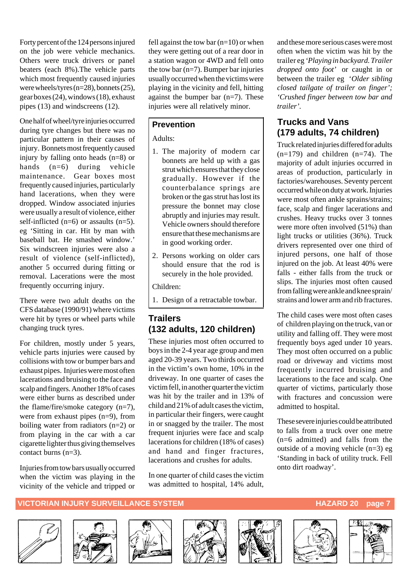Forty percent of the 124 persons injured on the job were vehicle mechanics. Others were truck drivers or panel beaters (each 8%).The vehicle parts which most frequently caused injuries were wheels/tyres (n=28), bonnets (25), gear boxes (24), windows (18), exhaust pipes (13) and windscreens (12).

One half of wheel/tyre injuries occurred during tyre changes but there was no particular pattern in their causes of injury. Bonnets most frequently caused injury by falling onto heads (n=8) or hands (n=6) during vehicle maintenance. Gear boxes most frequently caused injuries, particularly hand lacerations, when they were dropped. Window associated injuries were usually a result of violence, either self-inflicted  $(n=6)$  or assaults  $(n=5)$ . eg 'Sitting in car. Hit by man with baseball bat. He smashed window.' Six windscreen injuries were also a result of violence (self-inflicted), another 5 occurred during fitting or removal. Lacerations were the most frequently occurring injury.

There were two adult deaths on the CFS database (1990/91) where victims were hit by tyres or wheel parts while changing truck tyres.

For children, mostly under 5 years, vehicle parts injuries were caused by collisions with tow or bumper bars and exhaust pipes. Injuries were most often lacerations and bruising to the face and scalp and fingers. Another 18% of cases were either burns as described under the flame/fire/smoke category (n=7), were from exhaust pipes (n=9), from boiling water from radiators (n=2) or from playing in the car with a car cigarette lighter thus giving themselves contact burns (n=3).

Injuries from tow bars usually occurred when the victim was playing in the vicinity of the vehicle and tripped or fell against the tow bar  $(n=10)$  or when they were getting out of a rear door in a station wagon or 4WD and fell onto the tow bar  $(n=7)$ . Bumper bar injuries usually occurred when the victims were playing in the vicinity and fell, hitting against the bumper bar  $(n=7)$ . These injuries were all relatively minor.

#### **Prevention**

#### Adults:

- 1. The majority of modern car bonnets are held up with a gas strut which ensures that they close gradually. However if the counterbalance springs are broken or the gas strut has lost its pressure the bonnet may close abruptly and injuries may result. Vehicle owners should therefore ensure that these mechanisms are in good working order.
- 2. Persons working on older cars should ensure that the rod is securely in the hole provided.

Children:

1. Design of a retractable towbar.

#### **Trailers (132 adults, 120 children)**

These injuries most often occurred to boys in the 2-4 year age group and men aged 20-39 years. Two thirds occurred in the victim's own home, 10% in the driveway. In one quarter of cases the victim fell, in another quarter the victim was hit by the trailer and in 13% of child and 21% of adult cases the victim, in particular their fingers, were caught in or snagged by the trailer. The most frequent injuries were face and scalp lacerations for children (18% of cases) and hand and finger fractures, lacerations and crushes for adults.

In one quarter of child cases the victim was admitted to hospital, 14% adult, and these more serious cases were most often when the victim was hit by the trailer eg *'Playing in backyard. Trailer dropped onto foot'* or caught in or between the trailer eg '*Older sibling closed tailgate of trailer on finger'; 'Crushed finger between tow bar and trailer'.*

#### **Trucks and Vans (179 adults, 74 children)**

Truck related injuries differed for adults  $(n=179)$  and children  $(n=74)$ . The majority of adult injuries occurred in areas of production, particularly in factories/warehouses. Seventy percent occurred while on duty at work. Injuries were most often ankle sprains/strains: face, scalp and finger lacerations and crushes. Heavy trucks over 3 tonnes were more often involved  $(51%)$  than light trucks or utilities (36%). Truck drivers represented over one third of injured persons, one half of those injured on the job. At least 40% were falls - either falls from the truck or slips. The injuries most often caused from falling were ankle and knee sprain/ strains and lower arm and rib fractures.

The child cases were most often cases of children playing on the truck, van or utility and falling off. They were most frequently boys aged under 10 years. They most often occurred on a public road or driveway and victims most frequently incurred bruising and lacerations to the face and scalp. One quarter of victims, particularly those with fractures and concussion were admitted to hospital.

These severe injuries could be attributed to falls from a truck over one metre (n=6 admitted) and falls from the outside of a moving vehicle (n=3) eg 'Standing in back of utility truck. Fell onto dirt roadway'.

#### **VICTORIAN INJURY SURVEILLANCE SYSTEM AND READ READ TO A READ TO A PART OF PAGE 7**













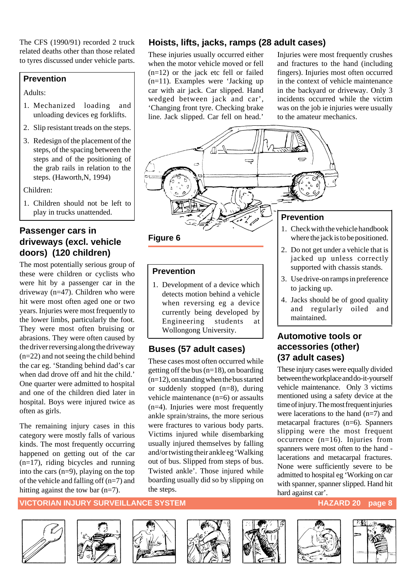The CFS (1990/91) recorded 2 truck related deaths other than those related to tyres discussed under vehicle parts.

#### **Prevention**

#### Adults:

- 1. Mechanized loading and unloading devices eg forklifts.
- 2. Slip resistant treads on the steps.
- 3. Redesign of the placement of the steps, of the spacing between the steps and of the positioning of the grab rails in relation to the steps. (Haworth,N, 1994)

Children:

1. Children should not be left to play in trucks unattended.

#### **Passenger cars in driveways (excl. vehicle doors) (120 children)**

The most potentially serious group of these were children or cyclists who were hit by a passenger car in the driveway (n=47). Children who were hit were most often aged one or two years. Injuries were most frequently to the lower limbs, particularly the foot. They were most often bruising or abrasions. They were often caused by the driver reversing along the driveway (n=22) and not seeing the child behind the car eg. 'Standing behind dad's car when dad drove off and hit the child.' One quarter were admitted to hospital and one of the children died later in hospital. Boys were injured twice as often as girls.

The remaining injury cases in this category were mostly falls of various kinds. The most frequently occurring happened on getting out of the car (n=17), riding bicycles and running into the cars (n=9), playing on the top of the vehicle and falling off (n=7) and hitting against the tow bar (n=7).

#### **Hoists, lifts, jacks, ramps (28 adult cases)**

These injuries usually occurred either when the motor vehicle moved or fell  $(n=12)$  or the jack etc fell or failed (n=11). Examples were 'Jacking up car with air jack. Car slipped. Hand wedged between jack and car', 'Changing front tyre. Checking brake line. Jack slipped. Car fell on head.'

Injuries were most frequently crushes and fractures to the hand (including fingers). Injuries most often occurred in the context of vehicle maintenance in the backyard or driveway. Only 3 incidents occurred while the victim was on the job ie injuries were usually to the amateur mechanics.



#### **Figure 6**

#### **Prevention**

1. Development of a device which detects motion behind a vehicle when reversing eg a device currently being developed by Engineering students at Wollongong University.

#### **Buses (57 adult cases)**

These cases most often occurred while getting off the bus  $(n=18)$ , on boarding (n=12), on standing when the bus started or suddenly stopped (n=8), during vehicle maintenance (n=6) or assaults (n=4). Injuries were most frequently ankle sprain/strains, the more serious were fractures to various body parts. Victims injured while disembarking usually injured themselves by falling and/or twisting their ankle eg 'Walking out of bus. Slipped from steps of bus. Twisted ankle'. Those injured while boarding usually did so by slipping on the steps.

- 1. Check with the vehicle handbook where the jack is to be positioned.
- 2. Do not get under a vehicle that is jacked up unless correctly supported with chassis stands.
- 3. Use drive-on ramps in preference to jacking up.
- 4. Jacks should be of good quality and regularly oiled and maintained.

#### **Automotive tools or accessories (other) (37 adult cases)**

These injury cases were equally divided between the workplace and do-it-yourself vehicle maintenance. Only 3 victims mentioned using a safety device at the time of injury. The most frequent injuries were lacerations to the hand (n=7) and metacarpal fractures (n=6). Spanners slipping were the most frequent occurrence (n=16). Injuries from spanners were most often to the hand lacerations and metacarpal fractures. None were sufficiently severe to be admitted to hospital eg 'Working on car with spanner, spanner slipped. Hand hit hard against car'.

#### **VICTORIAN INJURY SURVEILLANCE SYSTEM HAZARD 20** page 8













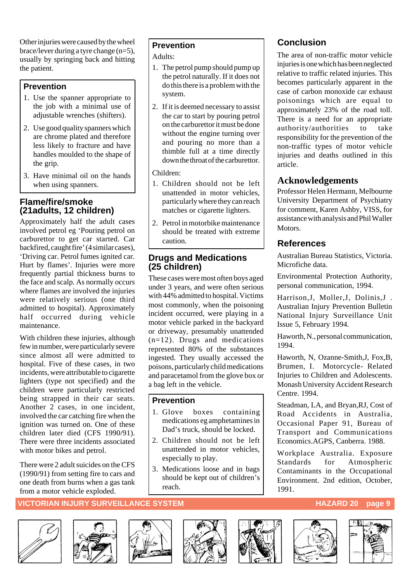Other injuries were caused by the wheel brace/lever during a tyre change  $(n=5)$ . usually by springing back and hitting the patient.

#### **Prevention**

- 1. Use the spanner appropriate to the job with a minimal use of adjustable wrenches (shifters).
- 2. Use good quality spanners which are chrome plated and therefore less likely to fracture and have handles moulded to the shape of the grip.
- 3. Have minimal oil on the hands when using spanners.

#### **Flame/fire/smoke (21adults, 12 children)**

Approximately half the adult cases involved petrol eg 'Pouring petrol on carburettor to get car started. Car backfired, caught fire' (4 similar cases), 'Driving car. Petrol fumes ignited car. Hurt by flames'. Injuries were more frequently partial thickness burns to the face and scalp. As normally occurs where flames are involved the injuries were relatively serious (one third admitted to hospital). Approximately half occurred during vehicle maintenance.

With children these injuries, although few in number, were particularly severe since almost all were admitted to hospital. Five of these cases, in two incidents, were attributable to cigarette lighters (type not specified) and the children were particularly restricted being strapped in their car seats. Another 2 cases, in one incident, involved the car catching fire when the ignition was turned on. One of these children later died (CFS 1990/91). There were three incidents associated with motor bikes and petrol.

There were 2 adult suicides on the CFS (1990/91) from setting fire to cars and one death from burns when a gas tank from a motor vehicle exploded.

#### **Prevention**

Adults:

- 1. The petrol pump should pump up the petrol naturally. If it does not do this there is a problem with the system.
- 2. If it is deemed necessary to assist the car to start by pouring petrol on the carburettor it must be done without the engine turning over and pouring no more than a thimble full at a time directly down the throat of the carburettor.

Children:

- 1. Children should not be left unattended in motor vehicles, particularly where they can reach matches or cigarette lighters.
- 2. Petrol in motorbike maintenance should be treated with extreme caution.

#### **Drugs and Medications (25 children)**

These cases were most often boys aged under 3 years, and were often serious with 44% admitted to hospital. Victims most commonly, when the poisoning incident occurred, were playing in a motor vehicle parked in the backyard or driveway, presumably unattended (n=12). Drugs and medications represented 80% of the substances ingested. They usually accessed the poisons, particularly child medications and paracetamol from the glove box or a bag left in the vehicle.

#### **Prevention**

- 1. Glove boxes containing medications eg amphetamines in Dad's truck, should be locked.
- 2. Children should not be left unattended in motor vehicles, especially to play.
- 3. Medications loose and in bags should be kept out of children's reach.

#### **Conclusion**

The area of non-traffic motor vehicle injuries is one which has been neglected relative to traffic related injuries. This becomes particularly apparent in the case of carbon monoxide car exhaust poisonings which are equal to approximately 23% of the road toll. There is a need for an appropriate authority/authorities to take responsibility for the prevention of the non-traffic types of motor vehicle injuries and deaths outlined in this article.

#### **Acknowledgements**

Professor Helen Hermann, Melbourne University Department of Psychiatry for comment, Karen Ashby, VISS, for assistance with analysis and Phil Waller **Motors** 

#### **References**

Australian Bureau Statistics, Victoria. Microfiche data.

Environmental Protection Authority, personal communication, 1994.

Harrison,J, Moller,J, Dolinis,J . Australian Injury Prevention Bulletin National Injury Surveillance Unit Issue 5, February 1994.

Haworth, N., personal communication, 1994.

Haworth, N, Ozanne-Smith,J, Fox,B, Brumen, I. Motorcycle- Related Injuries to Children and Adolescents. Monash University Accident Research Centre. 1994.

Steadman, LA, and Bryan,RJ, Cost of Road Accidents in Australia, Occasional Paper 91, Bureau of Transport and Communications Economics.AGPS, Canberra. 1988.

Workplace Australia. Exposure Standards for Atmospheric Contaminants in the Occupational Environment. 2nd edition, October, 1991.













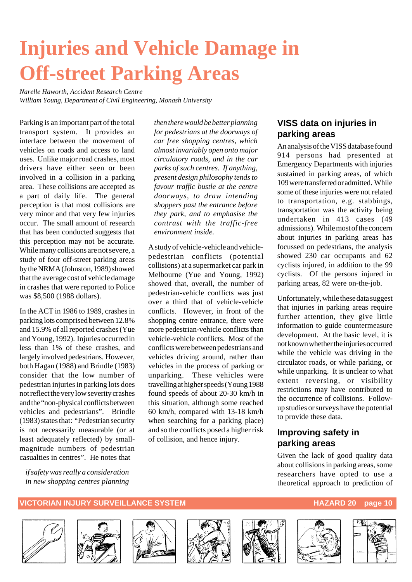# **Injuries and Vehicle Damage in Off-street Parking Areas**

*Narelle Haworth, Accident Research Centre William Young, Department of Civil Engineering, Monash University*

Parking is an important part of the total transport system. It provides an interface between the movement of vehicles on roads and access to land uses. Unlike major road crashes, most drivers have either seen or been involved in a collision in a parking area. These collisions are accepted as a part of daily life. The general perception is that most collisions are very minor and that very few injuries occur. The small amount of research that has been conducted suggests that this perception may not be accurate. While many collisions are not severe, a study of four off-street parking areas by the NRMA (Johnston, 1989) showed that the average cost of vehicle damage in crashes that were reported to Police was \$8,500 (1988 dollars).

In the ACT in 1986 to 1989, crashes in parking lots comprised between 12.8% and 15.9% of all reported crashes (Yue and Young, 1992). Injuries occurred in less than 1% of these crashes, and largely involved pedestrians. However, both Hagan (1988) and Brindle (1983) consider that the low number of pedestrian injuries in parking lots does not reflect the very low severity crashes and the "non-physical conflicts between vehicles and pedestrians". Brindle (1983) states that: "Pedestrian security is not necessarily measurable (or at least adequately reflected) by smallmagnitude numbers of pedestrian casualties in centres". He notes that

*if safety was really a consideration in new shopping centres planning*

*then there would be better planning for pedestrians at the doorways of car free shopping centres, which almost invariably open onto major circulatory roads, and in the car parks of such centres. If anything, present design philosophy tends to favour traffic bustle at the centre doorways, to draw intending shoppers past the entrance before they park, and to emphasise the contrast with the traffic-free environment inside.*

A study of vehicle-vehicle and vehiclepedestrian conflicts (potential collisions) at a supermarket car park in Melbourne (Yue and Young, 1992) showed that, overall, the number of pedestrian-vehicle conflicts was just over a third that of vehicle-vehicle conflicts. However, in front of the shopping centre entrance, there were more pedestrian-vehicle conflicts than vehicle-vehicle conflicts. Most of the conflicts were between pedestrians and vehicles driving around, rather than vehicles in the process of parking or unparking. These vehicles were travelling at higher speeds (Young 1988 found speeds of about 20-30 km/h in this situation, although some reached 60 km/h, compared with 13-18 km/h when searching for a parking place) and so the conflicts posed a higher risk of collision, and hence injury.

#### **VISS data on injuries in parking areas**

An analysis of the VISS database found 914 persons had presented at Emergency Departments with injuries sustained in parking areas, of which 109 were transferred or admitted. While some of these injuries were not related to transportation, e.g. stabbings, transportation was the activity being undertaken in 413 cases (49 admissions). While most of the concern about injuries in parking areas has focussed on pedestrians, the analysis showed 230 car occupants and 62 cyclists injured, in addition to the 99 cyclists. Of the persons injured in parking areas, 82 were on-the-job.

Unfortunately, while these data suggest that injuries in parking areas require further attention, they give little information to guide countermeasure development. At the basic level, it is not known whether the injuries occurred while the vehicle was driving in the circulator roads, or while parking, or while unparking. It is unclear to what extent reversing, or visibility restrictions may have contributed to the occurrence of collisions. Followup studies or surveys have the potential to provide these data.

#### **Improving safety in parking areas**

Given the lack of good quality data about collisions in parking areas, some researchers have opted to use a theoretical approach to prediction of













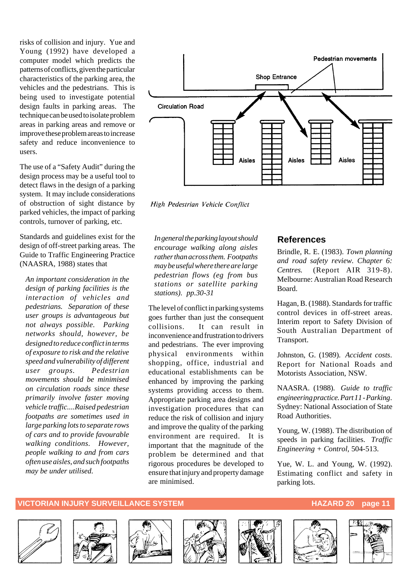risks of collision and injury. Yue and Young (1992) have developed a computer model which predicts the patterns of conflicts, given the particular characteristics of the parking area, the vehicles and the pedestrians. This is being used to investigate potential design faults in parking areas. The technique can be used to isolate problem areas in parking areas and remove or improve these problem areas to increase safety and reduce inconvenience to users.

The use of a "Safety Audit" during the design process may be a useful tool to detect flaws in the design of a parking system. It may include considerations of obstruction of sight distance by parked vehicles, the impact of parking controls, turnover of parking, etc.

Standards and guidelines exist for the design of off-street parking areas. The Guide to Traffic Engineering Practice (NAASRA, 1988) states that

*An important consideration in the design of parking facilities is the interaction of vehicles and pedestrians. Separation of these user groups is advantageous but not always possible. Parking networks should, however, be designed to reduce conflict in terms of exposure to risk and the relative speed and vulnerability of different user groups. Pedestrian movements should be minimised on circulation roads since these primarily involve faster moving vehicle traffic....Raised pedestrian footpaths are sometimes used in large parking lots to separate rows of cars and to provide favourable walking conditions. However, people walking to and from cars often use aisles, and such footpaths may be under utilised.*



High Pedestrian Vehicle Conflict

*In general the parking layout should encourage walking along aisles rather than across them. Footpaths may be useful where there are large pedestrian flows (eg from bus stations or satellite parking stations). pp.30-31*

The level of conflict in parking systems goes further than just the consequent collisions. It can result in inconvenience and frustration to drivers and pedestrians. The ever improving physical environments within shopping, office, industrial and educational establishments can be enhanced by improving the parking systems providing access to them. Appropriate parking area designs and investigation procedures that can reduce the risk of collision and injury and improve the quality of the parking environment are required. It is important that the magnitude of the problem be determined and that rigorous procedures be developed to ensure that injury and property damage are minimised.

#### **References**

Brindle, R. E. (1983). *Town planning and road safety review. Chapter 6: Centres.* (Report AIR 319-8). Melbourne: Australian Road Research Board.

Hagan, B. (1988). Standards for traffic control devices in off-street areas. Interim report to Safety Division of South Australian Department of Transport.

Johnston, G. (1989). *Accident costs*. Report for National Roads and Motorists Association, NSW.

NAASRA. (1988). *Guide to traffic engineering practice. Part 11 - Parking*. Sydney: National Association of State Road Authorities.

Young, W. (1988). The distribution of speeds in parking facilities. *Traffic Engineering + Control,* 504-513.

Yue, W. L. and Young, W. (1992). Estimating conflict and safety in parking lots.













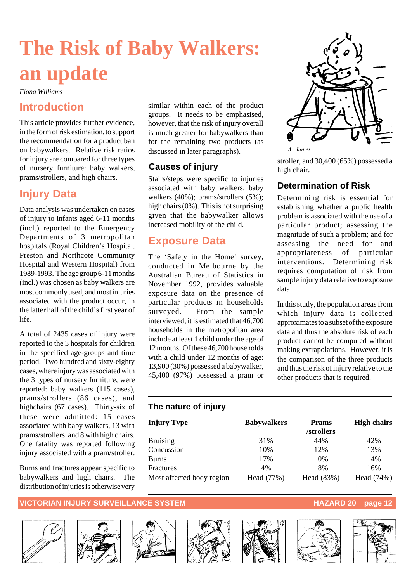# **The Risk of Baby Walkers: an update**

*Fiona Williams*

#### **Introduction**

This article provides further evidence, in the form of risk estimation, to support the recommendation for a product ban on babywalkers. Relative risk ratios for injury are compared for three types of nursery furniture: baby walkers, prams/strollers, and high chairs.

#### **Injury Data**

Data analysis was undertaken on cases of injury to infants aged 6-11 months (incl.) reported to the Emergency Departments of 3 metropolitan hospitals (Royal Children's Hospital, Preston and Northcote Community Hospital and Western Hospital) from 1989-1993. The age group 6-11 months (incl.) was chosen as baby walkers are most commonly used, and most injuries associated with the product occur, in the latter half of the child's first year of life.

A total of 2435 cases of injury were reported to the 3 hospitals for children in the specified age-groups and time period. Two hundred and sixty-eighty cases, where injury was associated with the 3 types of nursery furniture, were reported: baby walkers (115 cases), prams/strollers (86 cases), and highchairs (67 cases). Thirty-six of these were admitted: 15 cases associated with baby walkers, 13 with prams/strollers, and 8 with high chairs. One fatality was reported following injury associated with a pram/stroller.

Burns and fractures appear specific to babywalkers and high chairs. The distribution of injuries is otherwise very

similar within each of the product groups. It needs to be emphasised, however, that the risk of injury overall is much greater for babywalkers than for the remaining two products (as discussed in later paragraphs).

#### **Causes of injury**

Stairs/steps were specific to injuries associated with baby walkers: baby walkers (40%); prams/strollers (5%); high chairs (0%). This is not surprising given that the babywalker allows increased mobility of the child.

### **Exposure Data**

The 'Safety in the Home' survey, conducted in Melbourne by the Australian Bureau of Statistics in November 1992, provides valuable exposure data on the presence of particular products in households surveyed. From the sample interviewed, it is estimated that 46,700 households in the metropolitan area include at least 1 child under the age of 12 months. Of these 46,700 households with a child under 12 months of age: 13,900 (30%) possessed a babywalker, 45,400 (97%) possessed a pram or



stroller, and 30,400 (65%) possessed a high chair.

#### **Determination of Risk**

Determining risk is essential for establishing whether a public health problem is associated with the use of a particular product; assessing the magnitude of such a problem; and for assessing the need for and appropriateness of particular interventions. Determining risk requires computation of risk from sample injury data relative to exposure data.

In this study, the population areas from which injury data is collected approximates to a subset of the exposure data and thus the absolute risk of each product cannot be computed without making extrapolations. However, it is the comparison of the three products and thus the risk of injury relative to the other products that is required.

#### **The nature of injury**

| <b>Babywalkers</b> | <b>Prams</b><br>/strollers | <b>High chairs</b> |
|--------------------|----------------------------|--------------------|
| 31%                | 44%                        | 42%                |
| 10%                | 12%                        | 13%                |
| 17%                | $0\%$                      | 4%                 |
| 4%                 | 8%                         | 16%                |
| Head (77%)         | Head (83%)                 | Head (74%)         |
|                    |                            |                    |













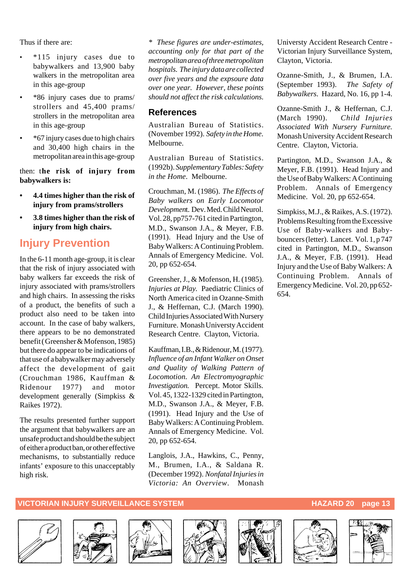Thus if there are:

- \*115 injury cases due to babywalkers and 13,900 baby walkers in the metropolitan area in this age-group
- \*86 injury cases due to prams/ strollers and 45,400 prams/ strollers in the metropolitan area in this age-group
- \*67 injury cases due to high chairs and 30,400 high chairs in the metropolitan area in this age-group

then: t**he risk of injury from babywalkers is:**

- **4.4 times higher than the risk of injury from prams/strollers**
- **3.8 times higher than the risk of injury from high chairs.**

### **Injury Prevention**

In the 6-11 month age-group, it is clear that the risk of injury associated with baby walkers far exceeds the risk of injury associated with prams/strollers and high chairs. In assessing the risks of a product, the benefits of such a product also need to be taken into account. In the case of baby walkers, there appears to be no demonstrated benefit ( Greensher & Mofenson, 1985) but there do appear to be indications of that use of a babywalker may adversely affect the development of gait (Crouchman 1986, Kauffman & Ridenour 1977) and motor development generally (Simpkiss & Raikes 1972).

The results presented further support the argument that babywalkers are an unsafe product and should be the subject of either a product ban, or other effective mechanisms, to substantially reduce infants' exposure to this unacceptably high risk.

*\* These figures are under-estimates, accounting only for that part of the metropolitan area of three metropolitan hospitals. The injury data are collected over five years and the expsoure data over one year. However, these points should not affect the risk calculations.*

#### **References**

Australian Bureau of Statistics. (November 1992). *Safety in the Home*. Melbourne.

Australian Bureau of Statistics. (1992b). *Supplementary Tables: Safety in the Home*. Melbourne.

Crouchman, M. (1986). *The Effects of Baby walkers on Early Locomotor Developmen*t. Dev. Med. Child Neurol. Vol. 28, pp757-761 cited in Partington, M.D., Swanson J.A., & Meyer, F.B. (1991). Head Injury and the Use of Baby Walkers: A Continuing Problem. Annals of Emergency Medicine. Vol. 20, pp 652-654.

Greensher, J., & Mofenson, H. (1985). *Injuries at Play.* Paediatric Clinics of North America cited in Ozanne-Smith J., & Heffernan, C.J. (March 1990). Child Injuries Associated With Nursery Furniture. Monash Universty Accident Research Centre. Clayton, Victoria.

Kauffman, I.B., & Ridenour, M. (1977). *Influence of an Infant Walker on Onset and Quality of Walking Pattern of Locomotion. An Electromyographic Investigation.* Percept. Motor Skills. Vol. 45, 1322-1329 cited in Partington, M.D., Swanson J.A., & Meyer, F.B. (1991). Head Injury and the Use of Baby Walkers: A Continuing Problem. Annals of Emergency Medicine. Vol. 20, pp 652-654.

Langlois, J.A., Hawkins, C., Penny, M., Brumen, I.A., & Saldana R. (December 1992). *Nonfatal Injuries in Victoria: An Overview*. Monash Universty Accident Research Centre - Victorian Injury Surveillance System, Clayton, Victoria.

Ozanne-Smith, J., & Brumen, I.A. (September 1993). *The Safety of Babywalkers*. Hazard, No. 16, pp 1-4.

Ozanne-Smith J., & Heffernan, C.J. (March 1990). *Child Injuries Associated With Nursery Furniture.* Monash University Accident Research Centre. Clayton, Victoria.

Partington, M.D., Swanson J.A., & Meyer, F.B. (1991). Head Injury and the Use of Baby Walkers: A Continuing Problem. Annals of Emergency Medicine. Vol. 20, pp 652-654.

Simpkiss, M.J., & Raikes, A.S. (1972). Problems Resulting from the Excessive Use of Baby-walkers and Babybouncers (letter). Lancet. Vol. 1, p 747 cited in Partington, M.D., Swanson J.A., & Meyer, F.B. (1991). Head Injury and the Use of Baby Walkers: A Continuing Problem. Annals of Emergency Medicine. Vol. 20, pp 652- 654.











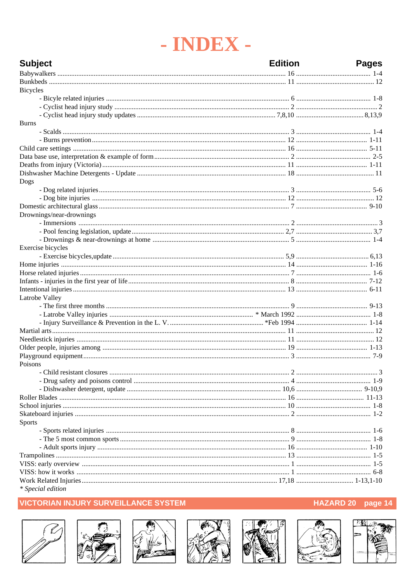# - INDEX -

| <b>Subject</b>           | <b>Edition</b> | <b>Pages</b> |
|--------------------------|----------------|--------------|
|                          |                |              |
|                          |                |              |
| <b>Bicycles</b>          |                |              |
|                          |                |              |
|                          |                |              |
|                          |                |              |
| <b>Burns</b>             |                |              |
|                          |                |              |
|                          |                |              |
|                          |                |              |
|                          |                |              |
|                          |                |              |
|                          |                |              |
| Dogs                     |                |              |
|                          |                |              |
|                          |                |              |
|                          |                |              |
| Drownings/near-drownings |                |              |
|                          |                |              |
|                          |                |              |
|                          |                |              |
| Exercise bicycles        |                |              |
|                          |                |              |
|                          |                |              |
|                          |                |              |
|                          |                |              |
|                          |                |              |
| Latrobe Valley           |                |              |
|                          |                |              |
|                          |                |              |
|                          |                |              |
|                          |                |              |
|                          |                |              |
|                          |                |              |
|                          |                |              |
| Poisons                  |                |              |
|                          |                |              |
|                          |                |              |
|                          |                |              |
|                          |                |              |
|                          |                |              |
|                          |                |              |
|                          |                |              |
| <b>Sports</b>            |                |              |
|                          |                |              |
|                          |                |              |
|                          |                |              |
|                          |                |              |
|                          |                |              |
|                          |                |              |
|                          |                |              |
| * Special edition        |                |              |

#### **VICTORIAN INJURY SURVEILLANCE SYSTEM**















#### HAZARD 20 page 14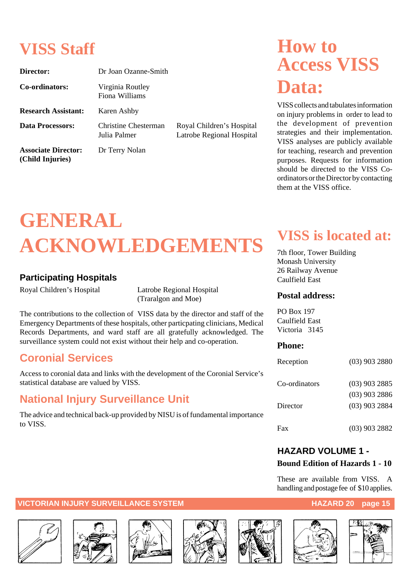## **VISS Staff**

| Director:                                      | Dr Joan Ozanne-Smith                 |                                                        |
|------------------------------------------------|--------------------------------------|--------------------------------------------------------|
| Co-ordinators:                                 | Virginia Routley<br>Fiona Williams   |                                                        |
| <b>Research Assistant:</b>                     | Karen Ashby                          |                                                        |
| Data Processors:                               | Christine Chesterman<br>Julia Palmer | Royal Children's Hospital<br>Latrobe Regional Hospital |
| <b>Associate Director:</b><br>(Child Injuries) | Dr Terry Nolan                       |                                                        |

## **How to Access VISS Data:**

VISS collects and tabulates information on injury problems in order to lead to the development of prevention strategies and their implementation. VISS analyses are publicly available for teaching, research and prevention purposes. Requests for information should be directed to the VISS Coordinators or the Director by contacting them at the VISS office.

# **GENERAL ACKNOWLEDGEMENTS**

#### **Participating Hospitals**

Royal Children's Hospital Latrobe Regional Hospital

(Traralgon and Moe)

The contributions to the collection of VISS data by the director and staff of the Emergency Departments of these hospitals, other particpating clinicians, Medical Records Departments, and ward staff are all gratefully acknowledged. The surveillance system could not exist without their help and co-operation.

## **Coronial Services**

Access to coronial data and links with the development of the Coronial Service's statistical database are valued by VISS.

## **National Injury Surveillance Unit**

The advice and technical back-up provided by NISU is of fundamental importance to VISS.

## **VISS is located at:**

7th floor, Tower Building Monash University 26 Railway Avenue Caulfield East

#### **Postal address:**

PO Box 197 Caulfield East Victoria 3145

#### **Phone:**

| Reception     | $(03)$ 903 2880 |
|---------------|-----------------|
| Co-ordinators | $(03)$ 903 2885 |
|               | $(03)$ 903 2886 |
| Director      | $(03)$ 903 2884 |
| Fax           | $(03)$ 903 2882 |

#### **HAZARD VOLUME 1 -**

#### **Bound Edition of Hazards 1 - 10**

These are available from VISS. A handling and postage fee of \$10 applies.